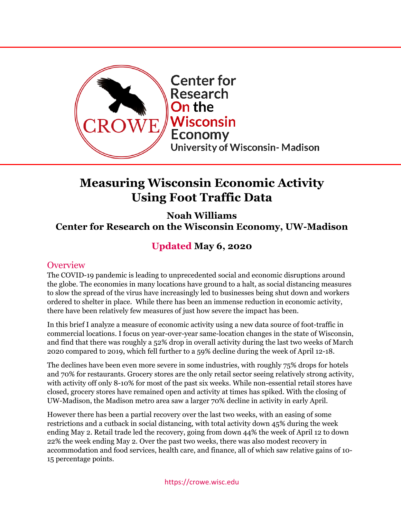

# **Measuring Wisconsin Economic Activity Using Foot Traffic Data**

**Noah Williams Center for Research on the Wisconsin Economy, UW-Madison**

## **Updated May 6, 2020**

#### **Overview**

The COVID-19 pandemic is leading to unprecedented social and economic disruptions around the globe. The economies in many locations have ground to a halt, as social distancing measures to slow the spread of the virus have increasingly led to businesses being shut down and workers ordered to shelter in place. While there has been an immense reduction in economic activity, there have been relatively few measures of just how severe the impact has been.

In this brief I analyze a measure of economic activity using a new data source of foot-traffic in commercial locations. I focus on year-over-year same-location changes in the state of Wisconsin, and find that there was roughly a 52% drop in overall activity during the last two weeks of March 2020 compared to 2019, which fell further to a 59% decline during the week of April 12-18.

The declines have been even more severe in some industries, with roughly 75% drops for hotels and 70% for restaurants. Grocery stores are the only retail sector seeing relatively strong activity, with activity off only 8-10% for most of the past six weeks. While non-essential retail stores have closed, grocery stores have remained open and activity at times has spiked. With the closing of UW-Madison, the Madison metro area saw a larger 70% decline in activity in early April.

However there has been a partial recovery over the last two weeks, with an easing of some restrictions and a cutback in social distancing, with total activity down 45% during the week ending May 2. Retail trade led the recovery, going from down 44% the week of April 12 to down 22% the week ending May 2. Over the past two weeks, there was also modest recovery in accommodation and food services, health care, and finance, all of which saw relative gains of 10- 15 percentage points.

https://crowe.wisc.edu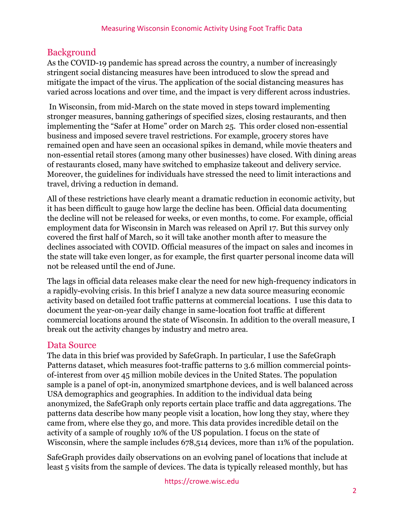### Background

As the COVID-19 pandemic has spread across the country, a number of increasingly stringent social distancing measures have been introduced to slow the spread and mitigate the impact of the virus. The application of the social distancing measures has varied across locations and over time, and the impact is very different across industries.

In Wisconsin, from mid-March on the state moved in steps toward implementing stronger measures, banning gatherings of specified sizes, closing restaurants, and then implementing the "Safer at Home" order on March 25. This order closed non-essential business and imposed severe travel restrictions. For example, grocery stores have remained open and have seen an occasional spikes in demand, while movie theaters and non-essential retail stores (among many other businesses) have closed. With dining areas of restaurants closed, many have switched to emphasize takeout and delivery service. Moreover, the guidelines for individuals have stressed the need to limit interactions and travel, driving a reduction in demand.

All of these restrictions have clearly meant a dramatic reduction in economic activity, but it has been difficult to gauge how large the decline has been. Official data documenting the decline will not be released for weeks, or even months, to come. For example, official employment data for Wisconsin in March was released on April 17. But this survey only covered the first half of March, so it will take another month after to measure the declines associated with COVID. Official measures of the impact on sales and incomes in the state will take even longer, as for example, the first quarter personal income data will not be released until the end of June.

The lags in official data releases make clear the need for new high-frequency indicators in a rapidly-evolving crisis. In this brief I analyze a new data source measuring economic activity based on detailed foot traffic patterns at commercial locations. I use this data to document the year-on-year daily change in same-location foot traffic at different commercial locations around the state of Wisconsin. In addition to the overall measure, I break out the activity changes by industry and metro area.

### Data Source

The data in this brief was provided by SafeGraph. In particular, I use the SafeGraph Patterns dataset, which measures foot-traffic patterns to 3.6 million commercial pointsof-interest from over 45 million mobile devices in the United States. The population sample is a panel of opt-in, anonymized smartphone devices, and is well balanced across USA demographics and geographies. In addition to the individual data being anonymized, the SafeGraph only reports certain place traffic and data aggregations. The patterns data describe how many people visit a location, how long they stay, where they came from, where else they go, and more. This data provides incredible detail on the activity of a sample of roughly 10% of the US population. I focus on the state of Wisconsin, where the sample includes 678,514 devices, more than 11% of the population.

SafeGraph provides daily observations on an evolving panel of locations that include at least 5 visits from the sample of devices. The data is typically released monthly, but has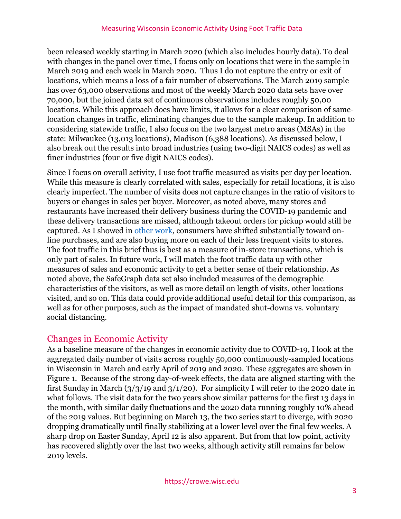been released weekly starting in March 2020 (which also includes hourly data). To deal with changes in the panel over time, I focus only on locations that were in the sample in March 2019 and each week in March 2020. Thus I do not capture the entry or exit of locations, which means a loss of a fair number of observations. The March 2019 sample has over 63,000 observations and most of the weekly March 2020 data sets have over 70,000, but the joined data set of continuous observations includes roughly 50,00 locations. While this approach does have limits, it allows for a clear comparison of samelocation changes in traffic, eliminating changes due to the sample makeup. In addition to considering statewide traffic, I also focus on the two largest metro areas (MSAs) in the state: Milwaukee (13,013 locations), Madison (6,388 locations). As discussed below, I also break out the results into broad industries (using two-digit NAICS codes) as well as finer industries (four or five digit NAICS codes).

Since I focus on overall activity, I use foot traffic measured as visits per day per location. While this measure is clearly correlated with sales, especially for retail locations, it is also clearly imperfect. The number of visits does not capture changes in the ratio of visitors to buyers or changes in sales per buyer. Moreover, as noted above, many stores and restaurants have increased their delivery business during the COVID-19 pandemic and these delivery transactions are missed, although takeout orders for pickup would still be captured. As I showed in [other work,](https://crowe.wisc.edu/wp-content/uploads/sites/313/2020/04/consumption.pdf) consumers have shifted substantially toward online purchases, and are also buying more on each of their less frequent visits to stores. The foot traffic in this brief thus is best as a measure of in-store transactions, which is only part of sales. In future work, I will match the foot traffic data up with other measures of sales and economic activity to get a better sense of their relationship. As noted above, the SafeGraph data set also included measures of the demographic characteristics of the visitors, as well as more detail on length of visits, other locations visited, and so on. This data could provide additional useful detail for this comparison, as well as for other purposes, such as the impact of mandated shut-downs vs. voluntary social distancing.

### Changes in Economic Activity

As a baseline measure of the changes in economic activity due to COVID-19, I look at the aggregated daily number of visits across roughly 50,000 continuously-sampled locations in Wisconsin in March and early April of 2019 and 2020. These aggregates are shown in Figure 1. Because of the strong day-of-week effects, the data are aligned starting with the first Sunday in March  $\left(\frac{3}{3}\right)$  and  $\frac{3}{1}\right)$  and  $\left(\frac{1}{20}\right)$ . For simplicity I will refer to the 2020 date in what follows. The visit data for the two years show similar patterns for the first 13 days in the month, with similar daily fluctuations and the 2020 data running roughly 10% ahead of the 2019 values. But beginning on March 13, the two series start to diverge, with 2020 dropping dramatically until finally stabilizing at a lower level over the final few weeks. A sharp drop on Easter Sunday, April 12 is also apparent. But from that low point, activity has recovered slightly over the last two weeks, although activity still remains far below 2019 levels.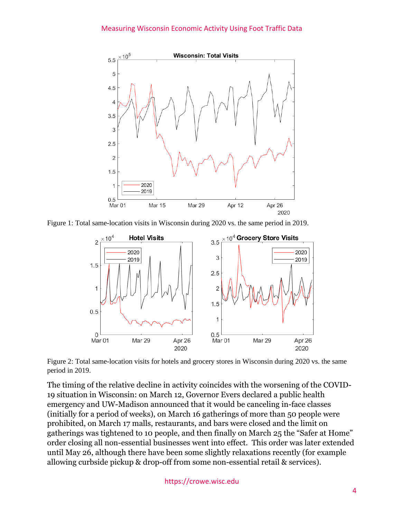

Figure 1: Total same-location visits in Wisconsin during 2020 vs. the same period in 2019.



Figure 2: Total same-location visits for hotels and grocery stores in Wisconsin during 2020 vs. the same period in 2019.

The timing of the relative decline in activity coincides with the worsening of the COVID-19 situation in Wisconsin: on March 12, Governor Evers declared a public health emergency and UW-Madison announced that it would be canceling in-face classes (initially for a period of weeks), on March 16 gatherings of more than 50 people were prohibited, on March 17 malls, restaurants, and bars were closed and the limit on gatherings was tightened to 10 people, and then finally on March 25 the "Safer at Home" order closing all non-essential businesses went into effect. This order was later extended until May 26, although there have been some slightly relaxations recently (for example allowing curbside pickup & drop-off from some non-essential retail & services).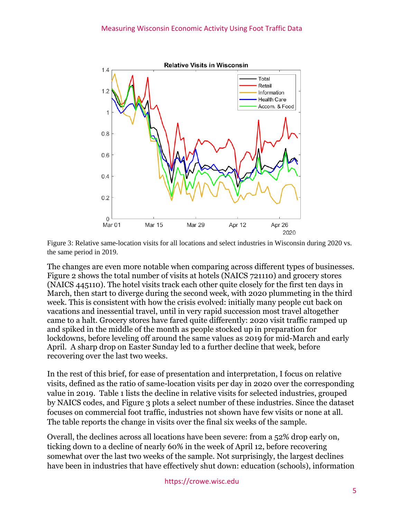



The changes are even more notable when comparing across different types of businesses. Figure 2 shows the total number of visits at hotels (NAICS 721110) and grocery stores (NAICS 445110). The hotel visits track each other quite closely for the first ten days in March, then start to diverge during the second week, with 2020 plummeting in the third week. This is consistent with how the crisis evolved: initially many people cut back on vacations and inessential travel, until in very rapid succession most travel altogether came to a halt. Grocery stores have fared quite differently: 2020 visit traffic ramped up and spiked in the middle of the month as people stocked up in preparation for lockdowns, before leveling off around the same values as 2019 for mid-March and early April. A sharp drop on Easter Sunday led to a further decline that week, before recovering over the last two weeks.

In the rest of this brief, for ease of presentation and interpretation, I focus on relative visits, defined as the ratio of same-location visits per day in 2020 over the corresponding value in 2019. Table 1 lists the decline in relative visits for selected industries, grouped by NAICS codes, and Figure 3 plots a select number of these industries. Since the dataset focuses on commercial foot traffic, industries not shown have few visits or none at all. The table reports the change in visits over the final six weeks of the sample.

Overall, the declines across all locations have been severe: from a 52% drop early on, ticking down to a decline of nearly 60% in the week of April 12, before recovering somewhat over the last two weeks of the sample. Not surprisingly, the largest declines have been in industries that have effectively shut down: education (schools), information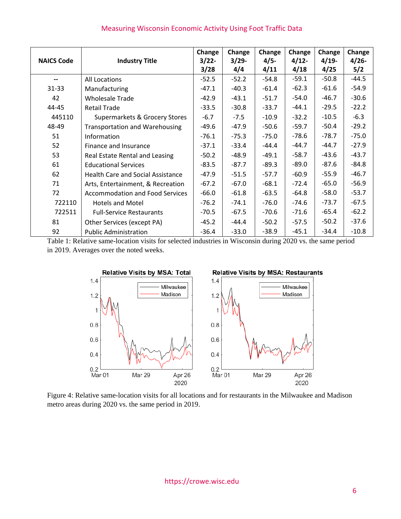|                          |                                          | Change   | Change   | Change  | Change  | Change  | Change   |
|--------------------------|------------------------------------------|----------|----------|---------|---------|---------|----------|
| <b>NAICS Code</b>        | <b>Industry Title</b>                    | $3/22 -$ | $3/29 -$ | $4/5 -$ | $4/12-$ | $4/19-$ | $4/26 -$ |
|                          |                                          | 3/28     | 4/4      | 4/11    | 4/18    | 4/25    | 5/2      |
| $\overline{\phantom{a}}$ | All Locations                            | $-52.5$  | $-52.2$  | $-54.8$ | $-59.1$ | $-50.8$ | $-44.5$  |
| $31 - 33$                | Manufacturing                            | $-47.1$  | $-40.3$  | $-61.4$ | $-62.3$ | $-61.6$ | $-54.9$  |
| 42                       | <b>Wholesale Trade</b>                   | $-42.9$  | $-43.1$  | $-51.7$ | $-54.0$ | $-46.7$ | $-30.6$  |
| 44-45                    | <b>Retail Trade</b>                      | $-33.5$  | $-30.8$  | $-33.7$ | $-44.1$ | $-29.5$ | $-22.2$  |
| 445110                   | Supermarkets & Grocery Stores            | $-6.7$   | $-7.5$   | $-10.9$ | $-32.2$ | $-10.5$ | $-6.3$   |
| 48-49                    | <b>Transportation and Warehousing</b>    | $-49.6$  | $-47.9$  | $-50.6$ | $-59.7$ | $-50.4$ | $-29.2$  |
| 51                       | Information                              | $-76.1$  | $-75.3$  | $-75.0$ | $-78.6$ | $-78.7$ | $-75.0$  |
| 52                       | Finance and Insurance                    | $-37.1$  | $-33.4$  | $-44.4$ | -44.7   | $-44.7$ | $-27.9$  |
| 53                       | Real Estate Rental and Leasing           | $-50.2$  | $-48.9$  | $-49.1$ | $-58.7$ | $-43.6$ | $-43.7$  |
| 61                       | <b>Educational Services</b>              | $-83.5$  | $-87.7$  | $-89.3$ | $-89.0$ | $-87.6$ | $-84.8$  |
| 62                       | <b>Health Care and Social Assistance</b> | $-47.9$  | $-51.5$  | $-57.7$ | $-60.9$ | $-55.9$ | $-46.7$  |
| 71                       | Arts, Entertainment, & Recreation        | $-67.2$  | $-67.0$  | $-68.1$ | $-72.4$ | $-65.0$ | $-56.9$  |
| 72                       | <b>Accommodation and Food Services</b>   | $-66.0$  | $-61.8$  | $-63.5$ | $-64.8$ | $-58.0$ | $-53.7$  |
| 722110                   | <b>Hotels and Motel</b>                  | $-76.2$  | $-74.1$  | $-76.0$ | $-74.6$ | $-73.7$ | $-67.5$  |
| 722511                   | <b>Full-Service Restaurants</b>          | $-70.5$  | $-67.5$  | $-70.6$ | $-71.6$ | $-65.4$ | $-62.2$  |
| 81                       | Other Services (except PA)               | $-45.2$  | $-44.4$  | $-50.2$ | $-57.5$ | $-50.2$ | $-37.6$  |
| 92                       | <b>Public Administration</b>             | $-36.4$  | $-33.0$  | $-38.9$ | $-45.1$ | $-34.4$ | $-10.8$  |

#### Measuring Wisconsin Economic Activity Using Foot Traffic Data

Table 1: Relative same-location visits for selected industries in Wisconsin during 2020 vs. the same period in 2019. Averages over the noted weeks.



Figure 4: Relative same-location visits for all locations and for restaurants in the Milwaukee and Madison metro areas during 2020 vs. the same period in 2019.